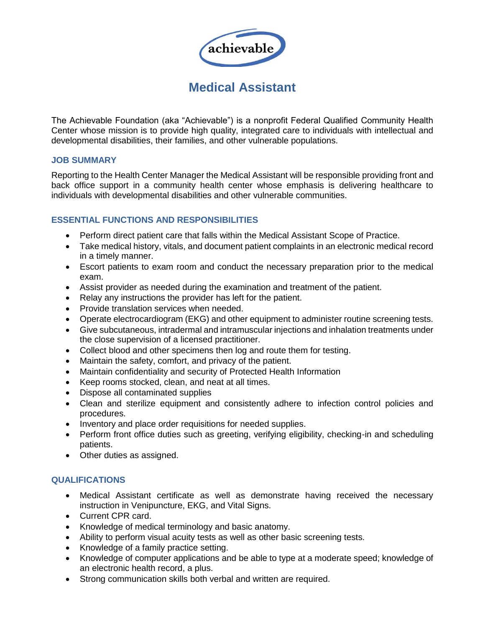

# **Medical Assistant**

The Achievable Foundation (aka "Achievable") is a nonprofit Federal Qualified Community Health Center whose mission is to provide high quality, integrated care to individuals with intellectual and developmental disabilities, their families, and other vulnerable populations.

### **JOB SUMMARY**

Reporting to the Health Center Manager the Medical Assistant will be responsible providing front and back office support in a community health center whose emphasis is delivering healthcare to individuals with developmental disabilities and other vulnerable communities.

## **ESSENTIAL FUNCTIONS AND RESPONSIBILITIES**

- Perform direct patient care that falls within the Medical Assistant Scope of Practice.
- Take medical history, vitals, and document patient complaints in an electronic medical record in a timely manner.
- Escort patients to exam room and conduct the necessary preparation prior to the medical exam.
- Assist provider as needed during the examination and treatment of the patient.
- Relay any instructions the provider has left for the patient.
- Provide translation services when needed.
- Operate electrocardiogram (EKG) and other equipment to administer routine screening tests.
- Give subcutaneous, intradermal and intramuscular injections and inhalation treatments under the close supervision of a licensed practitioner.
- Collect blood and other specimens then log and route them for testing.
- Maintain the safety, comfort, and privacy of the patient.
- Maintain confidentiality and security of Protected Health Information
- Keep rooms stocked, clean, and neat at all times.
- Dispose all contaminated supplies
- Clean and sterilize equipment and consistently adhere to infection control policies and procedures.
- Inventory and place order requisitions for needed supplies.
- Perform front office duties such as greeting, verifying eligibility, checking-in and scheduling patients.
- Other duties as assigned.

## **QUALIFICATIONS**

- Medical Assistant certificate as well as demonstrate having received the necessary instruction in Venipuncture, EKG, and Vital Signs.
- Current CPR card.
- Knowledge of medical terminology and basic anatomy.
- Ability to perform visual acuity tests as well as other basic screening tests.
- Knowledge of a family practice setting.
- Knowledge of computer applications and be able to type at a moderate speed; knowledge of an electronic health record, a plus.
- Strong communication skills both verbal and written are required.